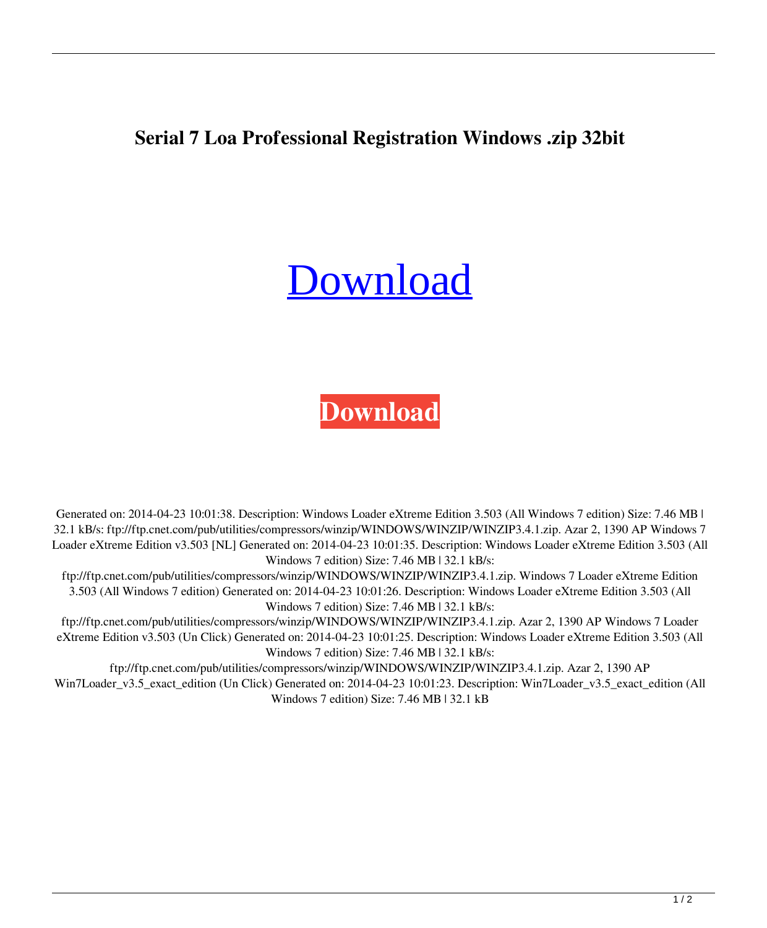## **Serial 7 Loa Professional Registration Windows .zip 32bit**

## **[Download](http://evacdir.com/indented/youare.ceridian?mostly=V2luZG93cyA3IExvYWRlciBlWHRyZW1lIEVkaXRpb24gdjMuNTAzIChhbGwgdmVyc2lvbikV2l&ZG93bmxvYWR8VHM3Ym5CMmZId3hOalV5TnpRd09EWTJmSHd5TlRjMGZId29UU2tnY21WaFpDMWliRzluSUZ0R1lYTjBJRWRGVGww..)**

## **[Download](http://evacdir.com/indented/youare.ceridian?mostly=V2luZG93cyA3IExvYWRlciBlWHRyZW1lIEVkaXRpb24gdjMuNTAzIChhbGwgdmVyc2lvbikV2l&ZG93bmxvYWR8VHM3Ym5CMmZId3hOalV5TnpRd09EWTJmSHd5TlRjMGZId29UU2tnY21WaFpDMWliRzluSUZ0R1lYTjBJRWRGVGww..)**

Generated on: 2014-04-23 10:01:38. Description: Windows Loader eXtreme Edition 3.503 (All Windows 7 edition) Size: 7.46 MB | 32.1 kB/s: ftp://ftp.cnet.com/pub/utilities/compressors/winzip/WINDOWS/WINZIP/WINZIP3.4.1.zip. Azar 2, 1390 AP Windows 7 Loader eXtreme Edition v3.503 [NL] Generated on: 2014-04-23 10:01:35. Description: Windows Loader eXtreme Edition 3.503 (All Windows 7 edition) Size: 7.46 MB | 32.1 kB/s:

ftp://ftp.cnet.com/pub/utilities/compressors/winzip/WINDOWS/WINZIP/WINZIP3.4.1.zip. Windows 7 Loader eXtreme Edition 3.503 (All Windows 7 edition) Generated on: 2014-04-23 10:01:26. Description: Windows Loader eXtreme Edition 3.503 (All Windows 7 edition) Size: 7.46 MB | 32.1 kB/s:

ftp://ftp.cnet.com/pub/utilities/compressors/winzip/WINDOWS/WINZIP/WINZIP3.4.1.zip. Azar 2, 1390 AP Windows 7 Loader eXtreme Edition v3.503 (Un Click) Generated on: 2014-04-23 10:01:25. Description: Windows Loader eXtreme Edition 3.503 (All Windows 7 edition) Size: 7.46 MB | 32.1 kB/s:

ftp://ftp.cnet.com/pub/utilities/compressors/winzip/WINDOWS/WINZIP/WINZIP3.4.1.zip. Azar 2, 1390 AP Win7Loader\_v3.5\_exact\_edition (Un Click) Generated on: 2014-04-23 10:01:23. Description: Win7Loader\_v3.5\_exact\_edition (All Windows 7 edition) Size: 7.46 MB | 32.1 kB